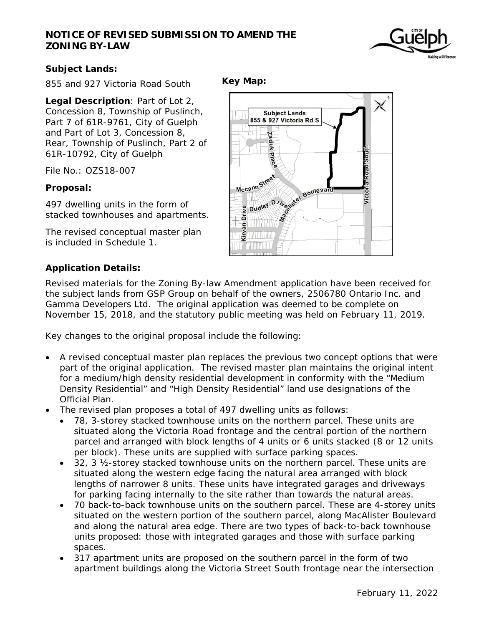## **NOTICE OF REVISED SUBMISSION TO AMEND THE ZONING BY-LAW**



## **Subject Lands:**

855 and 927 Victoria Road South

**Legal Description**: Part of Lot 2, Concession 8, Township of Puslinch, Part 7 of 61R-9761, City of Guelph and Part of Lot 3, Concession 8, Rear, Township of Puslinch, Part 2 of 61R-10792, City of Guelph

File No.: OZS18-007

#### **Proposal:**

497 dwelling units in the form of stacked townhouses and apartments.

The revised conceptual master plan is included in Schedule 1.

## **Application Details:**

Revised materials for the Zoning By-law Amendment application have been received for the subject lands from GSP Group on behalf of the owners, 2506780 Ontario Inc. and Gamma Developers Ltd. The original application was deemed to be complete on November 15, 2018, and the statutory public meeting was held on February 11, 2019.

Key changes to the original proposal include the following:

- A revised conceptual master plan replaces the previous two concept options that were part of the original application. The revised master plan maintains the original intent for a medium/high density residential development in conformity with the "Medium Density Residential" and "High Density Residential" land use designations of the Official Plan.
- The revised plan proposes a total of 497 dwelling units as follows:
	- 78, 3-storey stacked townhouse units on the northern parcel. These units are situated along the Victoria Road frontage and the central portion of the northern parcel and arranged with block lengths of 4 units or 6 units stacked (8 or 12 units per block). These units are supplied with surface parking spaces.
	- $\bullet$  32, 3  $\frac{1}{2}$ -storey stacked townhouse units on the northern parcel. These units are situated along the western edge facing the natural area arranged with block lengths of narrower 8 units. These units have integrated garages and driveways for parking facing internally to the site rather than towards the natural areas.
	- 70 back-to-back townhouse units on the southern parcel. These are 4-storey units situated on the western portion of the southern parcel, along MacAlister Boulevard and along the natural area edge. There are two types of back-to-back townhouse units proposed: those with integrated garages and those with surface parking spaces.
	- 317 apartment units are proposed on the southern parcel in the form of two apartment buildings along the Victoria Street South frontage near the intersection

**Key Map:** 

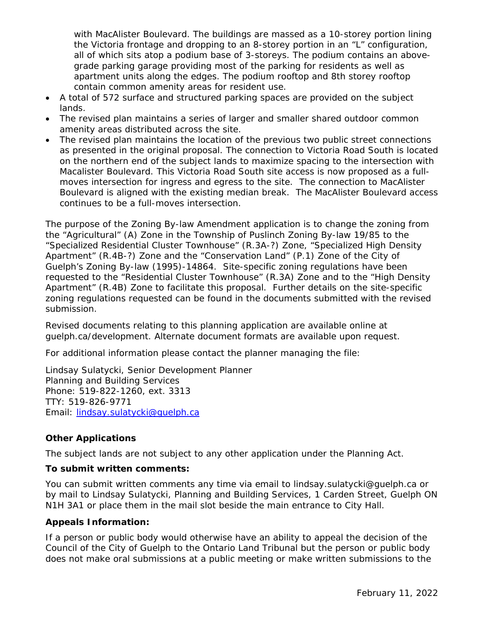with MacAlister Boulevard. The buildings are massed as a 10-storey portion lining the Victoria frontage and dropping to an 8-storey portion in an "L" configuration, all of which sits atop a podium base of 3-storeys. The podium contains an abovegrade parking garage providing most of the parking for residents as well as apartment units along the edges. The podium rooftop and 8th storey rooftop contain common amenity areas for resident use.

- A total of 572 surface and structured parking spaces are provided on the subject lands.
- The revised plan maintains a series of larger and smaller shared outdoor common amenity areas distributed across the site.
- The revised plan maintains the location of the previous two public street connections as presented in the original proposal. The connection to Victoria Road South is located on the northern end of the subject lands to maximize spacing to the intersection with Macalister Boulevard. This Victoria Road South site access is now proposed as a fullmoves intersection for ingress and egress to the site. The connection to MacAlister Boulevard is aligned with the existing median break. The MacAlister Boulevard access continues to be a full-moves intersection.

The purpose of the Zoning By-law Amendment application is to change the zoning from the "Agricultural" (A) Zone in the Township of Puslinch Zoning By-law 19/85 to the "Specialized Residential Cluster Townhouse" (R.3A-?) Zone, "Specialized High Density Apartment" (R.4B-?) Zone and the "Conservation Land" (P.1) Zone of the City of Guelph's Zoning By-law (1995)-14864. Site-specific zoning regulations have been requested to the "Residential Cluster Townhouse" (R.3A) Zone and to the "High Density Apartment" (R.4B) Zone to facilitate this proposal. Further details on the site-specific zoning regulations requested can be found in the documents submitted with the revised submission.

Revised documents relating to this planning application are available online at guelph.ca/development. Alternate document formats are available upon request.

For additional information please contact the planner managing the file:

Lindsay Sulatycki, Senior Development Planner Planning and Building Services Phone: 519-822-1260, ext. 3313 TTY: 519-826-9771 Email: lindsay.sulatycki@guelph.ca

## **Other Applications**

The subject lands are not subject to any other application under the Planning Act.

#### **To submit written comments:**

You can submit written comments any time via email to lindsay.sulatycki@guelph.ca or by mail to Lindsay Sulatycki, Planning and Building Services, 1 Carden Street, Guelph ON N1H 3A1 or place them in the mail slot beside the main entrance to City Hall.

#### **Appeals Information:**

If a person or public body would otherwise have an ability to appeal the decision of the Council of the City of Guelph to the Ontario Land Tribunal but the person or public body does not make oral submissions at a public meeting or make written submissions to the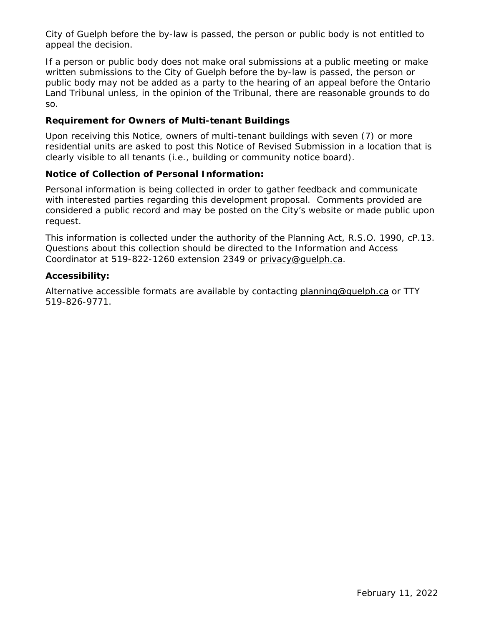City of Guelph before the by-law is passed, the person or public body is not entitled to appeal the decision.

If a person or public body does not make oral submissions at a public meeting or make written submissions to the City of Guelph before the by-law is passed, the person or public body may not be added as a party to the hearing of an appeal before the Ontario Land Tribunal unless, in the opinion of the Tribunal, there are reasonable grounds to do so.

#### **Requirement for Owners of Multi-tenant Buildings**

Upon receiving this Notice, owners of multi-tenant buildings with seven (7) or more residential units are asked to post this Notice of Revised Submission in a location that is clearly visible to all tenants (i.e., building or community notice board).

## **Notice of Collection of Personal Information:**

Personal information is being collected in order to gather feedback and communicate with interested parties regarding this development proposal. Comments provided are considered a public record and may be posted on the City's website or made public upon request.

This information is collected under the authority of the Planning Act, R.S.O. 1990, cP.13. Questions about this collection should be directed to the Information and Access Coordinator at 519-822-1260 extension 2349 or privacy@quelph.ca.

#### **Accessibility:**

Alternative accessible formats are available by contacting planning@guelph.ca or TTY 519-826-9771.